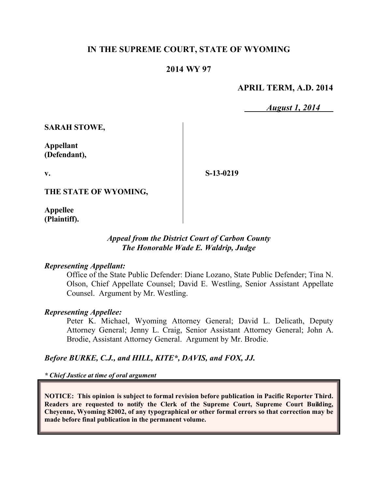# **IN THE SUPREME COURT, STATE OF WYOMING**

# **2014 WY 97**

## **APRIL TERM, A.D. 2014**

*August 1, 2014*

**SARAH STOWE,**

**Appellant (Defendant),**

**v.**

**S-13-0219**

**THE STATE OF WYOMING,**

**Appellee (Plaintiff).**

### *Appeal from the District Court of Carbon County The Honorable Wade E. Waldrip, Judge*

#### *Representing Appellant:*

Office of the State Public Defender: Diane Lozano, State Public Defender; Tina N. Olson, Chief Appellate Counsel; David E. Westling, Senior Assistant Appellate Counsel. Argument by Mr. Westling.

#### *Representing Appellee:*

Peter K. Michael, Wyoming Attorney General; David L. Delicath, Deputy Attorney General; Jenny L. Craig, Senior Assistant Attorney General; John A. Brodie, Assistant Attorney General. Argument by Mr. Brodie.

#### *Before BURKE, C.J., and HILL, KITE\*, DAVIS, and FOX, JJ.*

*\* Chief Justice at time of oral argument*

**NOTICE: This opinion is subject to formal revision before publication in Pacific Reporter Third. Readers are requested to notify the Clerk of the Supreme Court, Supreme Court Building, Cheyenne, Wyoming 82002, of any typographical or other formal errors so that correction may be made before final publication in the permanent volume.**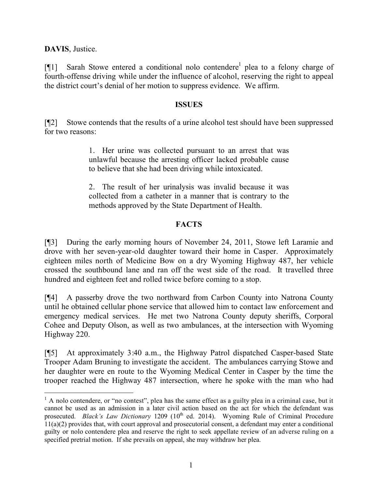**DAVIS**, Justice.

 $\overline{a}$ 

[ $[1]$ ] Sarah Stowe entered a conditional nolo contendere<sup>1</sup> plea to a felony charge of fourth-offense driving while under the influence of alcohol, reserving the right to appeal the district court's denial of her motion to suppress evidence. We affirm.

### **ISSUES**

[¶2] Stowe contends that the results of a urine alcohol test should have been suppressed for two reasons:

> 1. Her urine was collected pursuant to an arrest that was unlawful because the arresting officer lacked probable cause to believe that she had been driving while intoxicated.

> 2. The result of her urinalysis was invalid because it was collected from a catheter in a manner that is contrary to the methods approved by the State Department of Health.

### **FACTS**

[¶3] During the early morning hours of November 24, 2011, Stowe left Laramie and drove with her seven-year-old daughter toward their home in Casper. Approximately eighteen miles north of Medicine Bow on a dry Wyoming Highway 487, her vehicle crossed the southbound lane and ran off the west side of the road. It travelled three hundred and eighteen feet and rolled twice before coming to a stop.

[¶4] A passerby drove the two northward from Carbon County into Natrona County until he obtained cellular phone service that allowed him to contact law enforcement and emergency medical services. He met two Natrona County deputy sheriffs, Corporal Cohee and Deputy Olson, as well as two ambulances, at the intersection with Wyoming Highway 220.

[¶5] At approximately 3:40 a.m., the Highway Patrol dispatched Casper-based State Trooper Adam Bruning to investigate the accident. The ambulances carrying Stowe and her daughter were en route to the Wyoming Medical Center in Casper by the time the trooper reached the Highway 487 intersection, where he spoke with the man who had

<sup>&</sup>lt;sup>1</sup> A nolo contendere, or "no contest", plea has the same effect as a guilty plea in a criminal case, but it cannot be used as an admission in a later civil action based on the act for which the defendant was prosecuted. *Black's Law Dictionary* 1209 (10<sup>th</sup> ed. 2014). Wyoming Rule of Criminal Procedure  $11(a)(2)$  provides that, with court approval and prosecutorial consent, a defendant may enter a conditional guilty or nolo contendere plea and reserve the right to seek appellate review of an adverse ruling on a specified pretrial motion. If she prevails on appeal, she may withdraw her plea.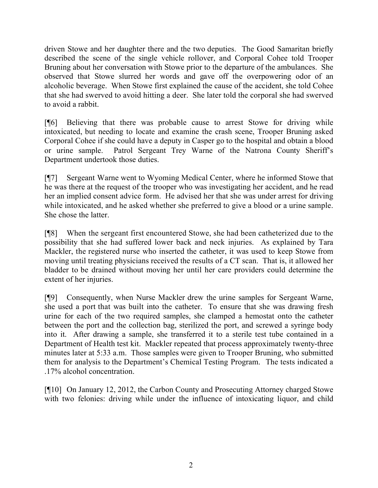driven Stowe and her daughter there and the two deputies. The Good Samaritan briefly described the scene of the single vehicle rollover, and Corporal Cohee told Trooper Bruning about her conversation with Stowe prior to the departure of the ambulances. She observed that Stowe slurred her words and gave off the overpowering odor of an alcoholic beverage. When Stowe first explained the cause of the accident, she told Cohee that she had swerved to avoid hitting a deer. She later told the corporal she had swerved to avoid a rabbit.

[¶6] Believing that there was probable cause to arrest Stowe for driving while intoxicated, but needing to locate and examine the crash scene, Trooper Bruning asked Corporal Cohee if she could have a deputy in Casper go to the hospital and obtain a blood or urine sample. Patrol Sergeant Trey Warne of the Natrona County Sheriff's Department undertook those duties.

[¶7] Sergeant Warne went to Wyoming Medical Center, where he informed Stowe that he was there at the request of the trooper who was investigating her accident, and he read her an implied consent advice form. He advised her that she was under arrest for driving while intoxicated, and he asked whether she preferred to give a blood or a urine sample. She chose the latter.

[¶8] When the sergeant first encountered Stowe, she had been catheterized due to the possibility that she had suffered lower back and neck injuries. As explained by Tara Mackler, the registered nurse who inserted the catheter, it was used to keep Stowe from moving until treating physicians received the results of a CT scan. That is, it allowed her bladder to be drained without moving her until her care providers could determine the extent of her injuries.

[¶9] Consequently, when Nurse Mackler drew the urine samples for Sergeant Warne, she used a port that was built into the catheter. To ensure that she was drawing fresh urine for each of the two required samples, she clamped a hemostat onto the catheter between the port and the collection bag, sterilized the port, and screwed a syringe body into it. After drawing a sample, she transferred it to a sterile test tube contained in a Department of Health test kit. Mackler repeated that process approximately twenty-three minutes later at 5:33 a.m. Those samples were given to Trooper Bruning, who submitted them for analysis to the Department's Chemical Testing Program. The tests indicated a .17% alcohol concentration.

[¶10] On January 12, 2012, the Carbon County and Prosecuting Attorney charged Stowe with two felonies: driving while under the influence of intoxicating liquor, and child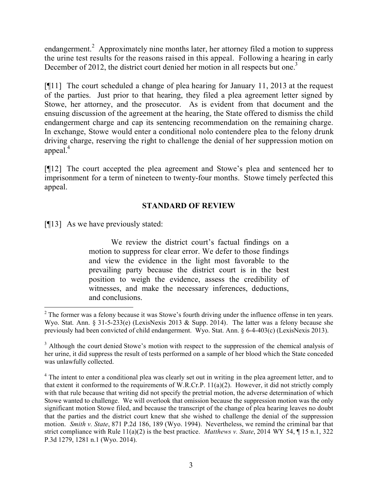endangerment.<sup>2</sup> Approximately nine months later, her attorney filed a motion to suppress the urine test results for the reasons raised in this appeal. Following a hearing in early December of 2012, the district court denied her motion in all respects but one.<sup>3</sup>

[¶11] The court scheduled a change of plea hearing for January 11, 2013 at the request of the parties. Just prior to that hearing, they filed a plea agreement letter signed by Stowe, her attorney, and the prosecutor. As is evident from that document and the ensuing discussion of the agreement at the hearing, the State offered to dismiss the child endangerment charge and cap its sentencing recommendation on the remaining charge. In exchange, Stowe would enter a conditional nolo contendere plea to the felony drunk driving charge, reserving the right to challenge the denial of her suppression motion on appeal. $4$ 

[¶12] The court accepted the plea agreement and Stowe's plea and sentenced her to imprisonment for a term of nineteen to twenty-four months. Stowe timely perfected this appeal.

# **STANDARD OF REVIEW**

[¶13] As we have previously stated:

We review the district court's factual findings on a motion to suppress for clear error. We defer to those findings and view the evidence in the light most favorable to the prevailing party because the district court is in the best position to weigh the evidence, assess the credibility of witnesses, and make the necessary inferences, deductions, and conclusions.

 $\overline{a}$ <sup>2</sup> The former was a felony because it was Stowe's fourth driving under the influence offense in ten years. Wyo. Stat. Ann. § 31-5-233(e) (LexisNexis 2013 & Supp. 2014). The latter was a felony because she previously had been convicted of child endangerment. Wyo. Stat. Ann. § 6-4-403(c) (LexisNexis 2013).

<sup>&</sup>lt;sup>3</sup> Although the court denied Stowe's motion with respect to the suppression of the chemical analysis of her urine, it did suppress the result of tests performed on a sample of her blood which the State conceded was unlawfully collected.

<sup>&</sup>lt;sup>4</sup> The intent to enter a conditional plea was clearly set out in writing in the plea agreement letter, and to that extent it conformed to the requirements of W.R.Cr.P.  $11(a)(2)$ . However, it did not strictly comply with that rule because that writing did not specify the pretrial motion, the adverse determination of which Stowe wanted to challenge. We will overlook that omission because the suppression motion was the only significant motion Stowe filed, and because the transcript of the change of plea hearing leaves no doubt that the parties and the district court knew that she wished to challenge the denial of the suppression motion. *Smith v. State*, 871 P.2d 186, 189 (Wyo. 1994). Nevertheless, we remind the criminal bar that strict compliance with Rule 11(a)(2) is the best practice. *Matthews v. State*, 2014 WY 54, ¶ 15 n.1, 322 P.3d 1279, 1281 n.1 (Wyo. 2014).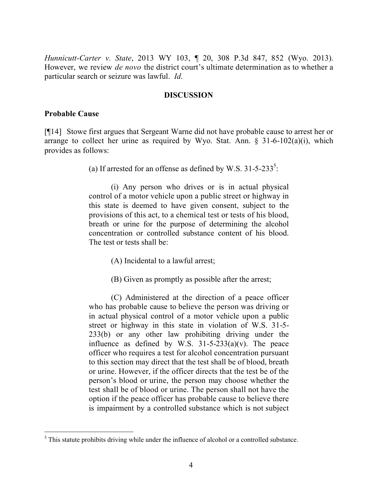*Hunnicutt-Carter v. State*, 2013 WY 103, ¶ 20, 308 P.3d 847, 852 (Wyo. 2013). However, we review *de novo* the district court's ultimate determination as to whether a particular search or seizure was lawful. *Id.* 

#### **DISCUSSION**

#### **Probable Cause**

 $\overline{a}$ 

[¶14] Stowe first argues that Sergeant Warne did not have probable cause to arrest her or arrange to collect her urine as required by Wyo. Stat. Ann.  $\S$  31-6-102(a)(i), which provides as follows:

(a) If arrested for an offense as defined by W.S.  $31-5-233^5$ :

(i) Any person who drives or is in actual physical control of a motor vehicle upon a public street or highway in this state is deemed to have given consent, subject to the provisions of this act, to a chemical test or tests of his blood, breath or urine for the purpose of determining the alcohol concentration or controlled substance content of his blood. The test or tests shall be:

(A) Incidental to a lawful arrest;

(B) Given as promptly as possible after the arrest;

(C) Administered at the direction of a peace officer who has probable cause to believe the person was driving or in actual physical control of a motor vehicle upon a public street or highway in this state in violation of W.S. 31-5- 233(b) or any other law prohibiting driving under the influence as defined by W.S.  $31-5-233(a)(v)$ . The peace officer who requires a test for alcohol concentration pursuant to this section may direct that the test shall be of blood, breath or urine. However, if the officer directs that the test be of the person's blood or urine, the person may choose whether the test shall be of blood or urine. The person shall not have the option if the peace officer has probable cause to believe there is impairment by a controlled substance which is not subject

<sup>&</sup>lt;sup>5</sup> This statute prohibits driving while under the influence of alcohol or a controlled substance.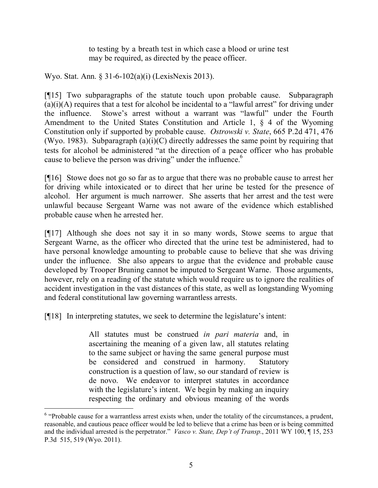to testing by a breath test in which case a blood or urine test may be required, as directed by the peace officer.

Wyo. Stat. Ann. § 31-6-102(a)(i) (LexisNexis 2013).

[¶15] Two subparagraphs of the statute touch upon probable cause. Subparagraph  $(a)(i)(A)$  requires that a test for alcohol be incidental to a "lawful arrest" for driving under the influence. Stowe's arrest without a warrant was "lawful" under the Fourth Amendment to the United States Constitution and Article 1, § 4 of the Wyoming Constitution only if supported by probable cause. *Ostrowski v. State*, 665 P.2d 471, 476 (Wyo. 1983). Subparagraph  $(a)(i)(C)$  directly addresses the same point by requiring that tests for alcohol be administered "at the direction of a peace officer who has probable cause to believe the person was driving" under the influence.<sup>6</sup>

[¶16] Stowe does not go so far as to argue that there was no probable cause to arrest her for driving while intoxicated or to direct that her urine be tested for the presence of alcohol. Her argument is much narrower. She asserts that her arrest and the test were unlawful because Sergeant Warne was not aware of the evidence which established probable cause when he arrested her.

[¶17] Although she does not say it in so many words, Stowe seems to argue that Sergeant Warne, as the officer who directed that the urine test be administered, had to have personal knowledge amounting to probable cause to believe that she was driving under the influence. She also appears to argue that the evidence and probable cause developed by Trooper Bruning cannot be imputed to Sergeant Warne. Those arguments, however, rely on a reading of the statute which would require us to ignore the realities of accident investigation in the vast distances of this state, as well as longstanding Wyoming and federal constitutional law governing warrantless arrests.

[¶18] In interpreting statutes, we seek to determine the legislature's intent:

 $\overline{a}$ 

All statutes must be construed *in pari materia* and, in ascertaining the meaning of a given law, all statutes relating to the same subject or having the same general purpose must be considered and construed in harmony. Statutory construction is a question of law, so our standard of review is de novo. We endeavor to interpret statutes in accordance with the legislature's intent. We begin by making an inquiry respecting the ordinary and obvious meaning of the words

 $6$  "Probable cause for a warrantless arrest exists when, under the totality of the circumstances, a prudent, reasonable, and cautious peace officer would be led to believe that a crime has been or is being committed and the individual arrested is the perpetrator." *Vasco v. State, Dep't of Transp.*, 2011 WY 100, ¶ 15, 253 P.3d 515, 519 (Wyo. 2011).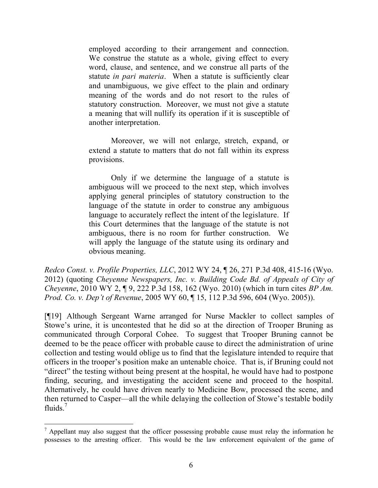employed according to their arrangement and connection. We construe the statute as a whole, giving effect to every word, clause, and sentence, and we construe all parts of the statute *in pari materia*. When a statute is sufficiently clear and unambiguous, we give effect to the plain and ordinary meaning of the words and do not resort to the rules of statutory construction. Moreover, we must not give a statute a meaning that will nullify its operation if it is susceptible of another interpretation.

Moreover, we will not enlarge, stretch, expand, or extend a statute to matters that do not fall within its express provisions.

Only if we determine the language of a statute is ambiguous will we proceed to the next step, which involves applying general principles of statutory construction to the language of the statute in order to construe any ambiguous language to accurately reflect the intent of the legislature. If this Court determines that the language of the statute is not ambiguous, there is no room for further construction. We will apply the language of the statute using its ordinary and obvious meaning.

*Redco Const. v. Profile Properties, LLC*, 2012 WY 24, ¶ 26, 271 P.3d 408, 415-16 (Wyo. 2012) (quoting *Cheyenne Newspapers, Inc. v. Building Code Bd. of Appeals of City of Cheyenne*, 2010 WY 2, ¶ 9, 222 P.3d 158, 162 (Wyo. 2010) (which in turn cites *BP Am. Prod. Co. v. Dep't of Revenue*, 2005 WY 60, ¶ 15, 112 P.3d 596, 604 (Wyo. 2005)).

[¶19] Although Sergeant Warne arranged for Nurse Mackler to collect samples of Stowe's urine, it is uncontested that he did so at the direction of Trooper Bruning as communicated through Corporal Cohee. To suggest that Trooper Bruning cannot be deemed to be the peace officer with probable cause to direct the administration of urine collection and testing would oblige us to find that the legislature intended to require that officers in the trooper's position make an untenable choice. That is, if Bruning could not "direct" the testing without being present at the hospital, he would have had to postpone finding, securing, and investigating the accident scene and proceed to the hospital. Alternatively, he could have driven nearly to Medicine Bow, processed the scene, and then returned to Casper—all the while delaying the collection of Stowe's testable bodily fluids. $7$ 

 $<sup>7</sup>$  Appellant may also suggest that the officer possessing probable cause must relay the information he</sup> possesses to the arresting officer. This would be the law enforcement equivalent of the game of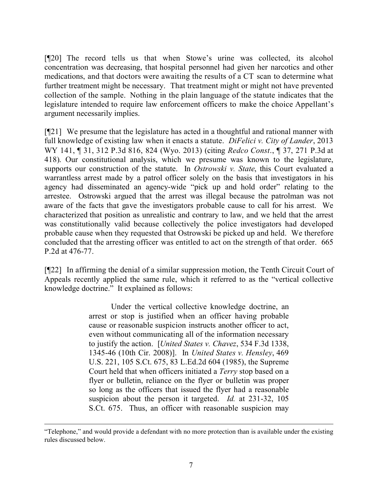[¶20] The record tells us that when Stowe's urine was collected, its alcohol concentration was decreasing, that hospital personnel had given her narcotics and other medications, and that doctors were awaiting the results of a CT scan to determine what further treatment might be necessary. That treatment might or might not have prevented collection of the sample. Nothing in the plain language of the statute indicates that the legislature intended to require law enforcement officers to make the choice Appellant's argument necessarily implies.

[¶21] We presume that the legislature has acted in a thoughtful and rational manner with full knowledge of existing law when it enacts a statute. *DiFelici v. City of Lander*, 2013 WY 141, ¶ 31, 312 P.3d 816, 824 (Wyo. 2013) (citing *Redco Const*., ¶ 37, 271 P.3d at 418). Our constitutional analysis, which we presume was known to the legislature, supports our construction of the statute. In *Ostrowski v. State*, this Court evaluated a warrantless arrest made by a patrol officer solely on the basis that investigators in his agency had disseminated an agency-wide "pick up and hold order" relating to the arrestee. Ostrowski argued that the arrest was illegal because the patrolman was not aware of the facts that gave the investigators probable cause to call for his arrest. We characterized that position as unrealistic and contrary to law, and we held that the arrest was constitutionally valid because collectively the police investigators had developed probable cause when they requested that Ostrowski be picked up and held. We therefore concluded that the arresting officer was entitled to act on the strength of that order. 665 P.2d at 476-77.

[¶22] In affirming the denial of a similar suppression motion, the Tenth Circuit Court of Appeals recently applied the same rule, which it referred to as the "vertical collective knowledge doctrine." It explained as follows:

> Under the vertical collective knowledge doctrine, an arrest or stop is justified when an officer having probable cause or reasonable suspicion instructs another officer to act, even without communicating all of the information necessary to justify the action. [*United States v. Chavez*, 534 F.3d 1338, 1345-46 (10th Cir. 2008)]. In *United States v. Hensley*, 469 U.S. 221, 105 S.Ct. 675, 83 L.Ed.2d 604 (1985), the Supreme Court held that when officers initiated a *Terry* stop based on a flyer or bulletin, reliance on the flyer or bulletin was proper so long as the officers that issued the flyer had a reasonable suspicion about the person it targeted. *Id.* at 231-32, 105 S.Ct. 675. Thus, an officer with reasonable suspicion may

<sup>&</sup>quot;Telephone," and would provide a defendant with no more protection than is available under the existing rules discussed below.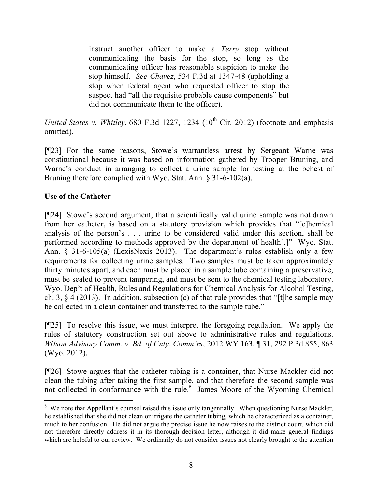instruct another officer to make a *Terry* stop without communicating the basis for the stop, so long as the communicating officer has reasonable suspicion to make the stop himself. *See Chavez*, 534 F.3d at 1347-48 (upholding a stop when federal agent who requested officer to stop the suspect had "all the requisite probable cause components" but did not communicate them to the officer).

*United States v. Whitley*, 680 F.3d 1227, 1234 ( $10<sup>th</sup>$  Cir. 2012) (footnote and emphasis omitted).

[¶23] For the same reasons, Stowe's warrantless arrest by Sergeant Warne was constitutional because it was based on information gathered by Trooper Bruning, and Warne's conduct in arranging to collect a urine sample for testing at the behest of Bruning therefore complied with Wyo. Stat. Ann. § 31-6-102(a).

## **Use of the Catheter**

[¶24] Stowe's second argument, that a scientifically valid urine sample was not drawn from her catheter, is based on a statutory provision which provides that "[c]hemical analysis of the person's . . . urine to be considered valid under this section, shall be performed according to methods approved by the department of health[.]" Wyo. Stat. Ann. § 31-6-105(a) (LexisNexis 2013). The department's rules establish only a few requirements for collecting urine samples. Two samples must be taken approximately thirty minutes apart, and each must be placed in a sample tube containing a preservative, must be sealed to prevent tampering, and must be sent to the chemical testing laboratory. Wyo. Dep't of Health, Rules and Regulations for Chemical Analysis for Alcohol Testing, ch. 3, § 4 (2013). In addition, subsection (c) of that rule provides that "[t]he sample may be collected in a clean container and transferred to the sample tube."

[¶25] To resolve this issue, we must interpret the foregoing regulation. We apply the rules of statutory construction set out above to administrative rules and regulations. *Wilson Advisory Comm. v. Bd. of Cnty. Comm'rs*, 2012 WY 163, ¶ 31, 292 P.3d 855, 863 (Wyo. 2012).

[¶26] Stowe argues that the catheter tubing is a container, that Nurse Mackler did not clean the tubing after taking the first sample, and that therefore the second sample was not collected in conformance with the rule.<sup>8</sup> James Moore of the Wyoming Chemical

<sup>&</sup>lt;sup>8</sup> We note that Appellant's counsel raised this issue only tangentially. When questioning Nurse Mackler, he established that she did not clean or irrigate the catheter tubing, which he characterized as a container, much to her confusion. He did not argue the precise issue he now raises to the district court, which did not therefore directly address it in its thorough decision letter, although it did make general findings which are helpful to our review. We ordinarily do not consider issues not clearly brought to the attention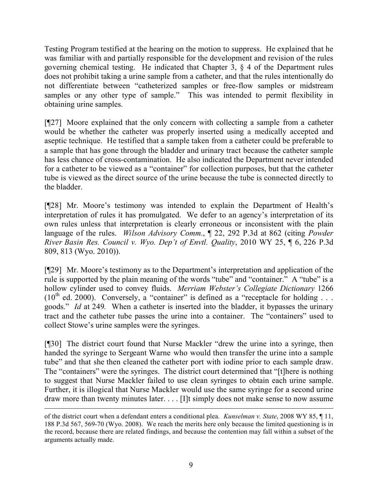Testing Program testified at the hearing on the motion to suppress. He explained that he was familiar with and partially responsible for the development and revision of the rules governing chemical testing. He indicated that Chapter 3, § 4 of the Department rules does not prohibit taking a urine sample from a catheter, and that the rules intentionally do not differentiate between "catheterized samples or free-flow samples or midstream samples or any other type of sample." This was intended to permit flexibility in obtaining urine samples.

[¶27] Moore explained that the only concern with collecting a sample from a catheter would be whether the catheter was properly inserted using a medically accepted and aseptic technique. He testified that a sample taken from a catheter could be preferable to a sample that has gone through the bladder and urinary tract because the catheter sample has less chance of cross-contamination. He also indicated the Department never intended for a catheter to be viewed as a "container" for collection purposes, but that the catheter tube is viewed as the direct source of the urine because the tube is connected directly to the bladder.

[¶28] Mr. Moore's testimony was intended to explain the Department of Health's interpretation of rules it has promulgated. We defer to an agency's interpretation of its own rules unless that interpretation is clearly erroneous or inconsistent with the plain language of the rules. *Wilson Advisory Comm.*, ¶ 22, 292 P.3d at 862 (citing *Powder River Basin Res. Council v. Wyo. Dep't of Envtl. Quality*, 2010 WY 25, ¶ 6, 226 P.3d 809, 813 (Wyo. 2010)).

[¶29] Mr. Moore's testimony as to the Department's interpretation and application of the rule is supported by the plain meaning of the words "tube" and "container." A "tube" is a hollow cylinder used to convey fluids. *Merriam Webster's Collegiate Dictionary* 1266  $(10^{th}$  ed. 2000). Conversely, a "container" is defined as a "receptacle for holding ... goods." *Id* at 249*.* When a catheter is inserted into the bladder, it bypasses the urinary tract and the catheter tube passes the urine into a container. The "containers" used to collect Stowe's urine samples were the syringes.

[¶30] The district court found that Nurse Mackler "drew the urine into a syringe, then handed the syringe to Sergeant Warne who would then transfer the urine into a sample tube" and that she then cleaned the catheter port with iodine prior to each sample draw. The "containers" were the syringes. The district court determined that "[t]here is nothing to suggest that Nurse Mackler failed to use clean syringes to obtain each urine sample. Further, it is illogical that Nurse Mackler would use the same syringe for a second urine draw more than twenty minutes later. . . . [I]t simply does not make sense to now assume

 $\overline{a}$ 

of the district court when a defendant enters a conditional plea. *Kunselman v. State*, 2008 WY 85, ¶ 11, 188 P.3d 567, 569-70 (Wyo. 2008). We reach the merits here only because the limited questioning is in the record, because there are related findings, and because the contention may fall within a subset of the arguments actually made.